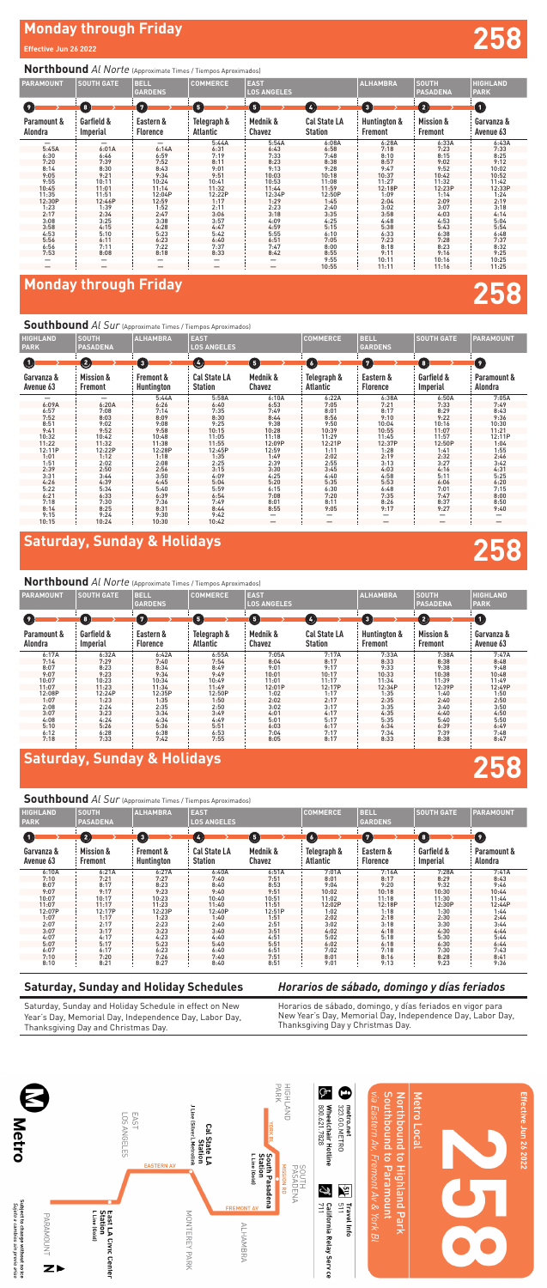# **Monday through Friday Effective Jun 26 2022 258**

## **Monday through Friday 258**

## *Horarios de sábado, domingo y días feriados*

Horarios de sábado, domingo, y días feriados en vigor para New Year's Day, Memorial Day, Independence Day, Labor Day, Thanksgiving Day y Christmas Day*.*



Saturday, Sunday and Holiday Schedule in effect on New Year's Day, Memorial Day, Independence Day, Labor Day, Thanksgiving Day and Christmas Day.

## **Northbound** *Al Norte* (Approximate Times / Tiempos Aproximados)

### **Southbound** *Al Sur* (Approximate Times / Tiempos Aproximados)

| <b>PARAMOUNT</b>       | <b>SOUTH GATE</b>             | <b>BELL</b><br><b>GARDENS</b> | <b>COMMERCE</b>         | <b>EAST</b><br><b>LOS ANGELES</b> |                                       | <b>ALHAMBRA</b>                    | <b>SOUTH</b><br><b>PASADENA</b> | <b>HIGHLAND</b><br><b>PARK</b> |
|------------------------|-------------------------------|-------------------------------|-------------------------|-----------------------------------|---------------------------------------|------------------------------------|---------------------------------|--------------------------------|
| Ω                      | $\mathbf 0$                   | $\sqrt{7}$                    | O                       | ❺                                 | Ø                                     | $\left(3\right)$                   | 0                               | O                              |
| Paramount &<br>Alondra | Garfield &<br><b>Imperial</b> | Eastern &<br><b>Florence</b>  | Telegraph &<br>Atlantic | Mednik &<br><b>Chavez</b>         | <b>Cal State LA</b><br><b>Station</b> | <b>Huntington &amp;</b><br>Fremont | <b>Mission &amp;</b><br>Fremont | Garvanza &<br>Avenue 63        |
|                        | —                             |                               | 5:44A                   | 5:54A                             | 6:08A                                 | 6:28A                              | 6:33A                           | 6:43A                          |
| 5:45A                  | 6:01A                         | 6:14A                         | 6:31                    | 6:43                              | 6:58                                  | 7:18                               | 7:23                            | 7:33                           |
| 6:30                   | 6:46                          | 6:59                          | 7:19                    | 7:33                              | 7:48                                  | 8:10                               | 8:15                            | 8:25                           |
| 7:20                   | 7:39                          | 7:52                          | 8:11                    | 8:23                              | 8:38                                  | 8:57                               | 9:02                            | 9:12                           |
| 8:14                   | 8:30                          | 8:43                          | 9:01                    | 9:13                              | 9:28                                  | 9:47                               | 9:52                            | 10:02                          |
| 9:05                   | 9:21                          | 9:34                          | 9:51                    | 10:03                             | 10:18                                 | 10:37                              | 10:42                           | 10:52                          |
| 9:55                   | 10:11                         | 10:24                         | 10:41                   | 10:53                             | 11:08                                 | 11:27                              | 11:32                           | 11:42                          |
| 10:45                  | 11:01                         | 11:14                         | 11:32                   | 11:44                             | 11:59                                 | 12:18P                             | 12:23P                          | 12:33P                         |
| 11:35                  | 11:51                         | 12:04P                        | 12:22P                  | 12:34P                            | 12:50P                                | 1:09                               | 1:14                            | 1:24                           |
| 12:30P                 | 12:46P                        | 12:59                         | 1:17                    | 1:29                              | 1:45                                  | 2:04                               | 2:09                            | 2:19                           |
| 1:23                   | 1:39                          | 1:52                          | 2:11                    | 2:23                              | 2:40                                  | 3:02                               | 3:07                            | 3:18                           |
| 2:17                   | 2:34                          | 2:47                          | 3:06                    | 3:18                              | 3:35                                  | 3:58                               | 4:03                            | 4:14                           |
| 3:08                   | 3:25                          | 3:38                          | 3:57                    | 4:09                              | 4:25                                  | 4:48                               | 4:53                            | 5:04                           |
| 3:58                   | 4:15                          | 4:28                          | 4:47                    | 4:59                              | 5:15                                  | 5:38                               | 5:43                            | 5:54                           |
| 4:53                   | 5:10                          | 5:23                          | 5:42                    | 5:55                              | 6:10                                  | 6:33                               | 6:38                            | 6:48                           |
| 5:56                   | 6:11                          | 6:23                          | 6:40                    | 6:51                              | 7:05                                  | 7:23                               | 7:28                            | 7:37                           |
| 6:56                   | 7:11                          | 7:22                          | 7:37                    | 7:47                              | 8:00                                  | 8:18                               | 8:23                            | 8:32                           |
| 7:53                   | 8:08                          | 8:18                          | 8:33                    | 8:42                              | 8:55                                  | 9:11                               | 9:16                            | 9:25                           |
|                        | —                             | —                             |                         |                                   | 9:55                                  | 10:11                              | 10:16                           | 10:25                          |
|                        | —                             | —                             |                         |                                   | 10:55                                 | 11:11                              | 11:16                           | 11:25                          |

## **Saturday, Sunday & Holidays 258**

# **Saturday, Sunday & Holidays 258**

### **Northbound** *Al Norte* (Approximate Times / Tiempos Aproximados)

| <b>HIGHLAND</b><br><b>PARK</b> | <b>SOUTH</b><br><b>PASADENA</b> | <b>ALHAMBRA</b>                           | <b>EAST</b><br><b>LOS ANGELES</b>     |                    | <b>COMMERCE</b>                | <b>BELL</b><br><b>GARDENS</b> | <b>SOUTH GATE</b>                              | <b>PARAMOUNT</b>       |
|--------------------------------|---------------------------------|-------------------------------------------|---------------------------------------|--------------------|--------------------------------|-------------------------------|------------------------------------------------|------------------------|
| O                              | Ø                               | $\left( 3\right)$                         | Ø                                     | Θ                  | (6)                            | $\mathcal{L}$                 | $\left( \begin{matrix} 0 \end{matrix} \right)$ | $\bullet$              |
| Garvanza &<br>Avenue 63        | <b>Mission &amp;</b><br>Fremont | <b>Fremont &amp;</b><br><b>Huntington</b> | <b>Cal State LA</b><br><b>Station</b> | Mednik &<br>Chavez | Telegraph &<br><b>Atlantic</b> | Eastern &<br><b>Florence</b>  | Garfield &<br><b>Imperial</b>                  | Paramount &<br>Alondra |
|                                | —                               | 5:44A                                     | 5:58A                                 | 6:10A              | 6:22A                          | 6:38A                         | 6:50A                                          | 7:05A                  |
| 6:09A                          | 6:20A                           | 6:26                                      | 6:40                                  | 6:53               | 7:05                           | 7:21                          | 7:33                                           | 7:49                   |
| 6:57                           | 7:08                            | 7:14                                      | 7:35                                  | 7:49               | 8:01                           | 8:17                          | 8:29                                           | 8:43                   |
| 7:52                           | 8:03                            | 8:09                                      | 8:30                                  | 8:44               | 8:56                           | 9:10                          | 9:22                                           | 9:36                   |
| 8:51                           | 9:02                            | 9:08                                      | 9:25                                  | 9:38               | 9:50                           | 10:04                         | 10:16                                          | 10:30                  |
| 9:41                           | 9:52                            | 9:58                                      | 10:15                                 | 10:28              | 10:39                          | 10:55                         | 11:07                                          | 11:21                  |
| 10:32                          | 10:42                           | 10:48                                     | 11:05                                 | 11:18              | 11:29                          | 11:45                         | 11:57                                          | 12:11P                 |
| 11:22                          | 11:32                           | 11:38                                     | 11:55                                 | 12:09P             | 12:21P                         | 12:37P                        | 12:50P                                         | 1:04                   |
| 12:11P                         | 12:22P                          | 12:28P                                    | 12:45P                                | 12:59              | 1:11                           | 1:28                          | 1:41                                           | 1:55                   |
| 1:01                           | 1:12                            | 1:18                                      | 1:35                                  | 1:49               | 2:02                           | 2:19                          | 2:32                                           | 2:46                   |
| 1:51                           | 2:02                            | 2:08                                      | 2:25                                  | 2:39               | 2:55                           | 3:13                          | 3:27                                           | 3:42                   |
| 2:39                           | 2:50                            | 2:56                                      | 3:15                                  | 3:30               | 3:45                           | 4:03                          | 4:16                                           | 4:31                   |
| 3:31                           | 3:44                            | 3:50                                      | 4:09                                  | 4:25               | 4:40                           | 4:58                          | 5:11                                           | 5:25                   |
| 4:26                           | 4:39                            | 4:45                                      | 5:04                                  | 5:20               | 5:35                           | 5:53                          | 6:06                                           | 6:20                   |
| 5:22                           | 5:34                            | 5:40                                      | 5:59                                  | 6:15               | 6:30                           | 6:48                          | 7:01                                           | 7:15                   |
| 6:21                           | 6:33                            | 6:39                                      | 6:54                                  | 7:08               | 7:20                           | 7:35                          | 7:47                                           | 8:00                   |
| 7:18                           | 7:30                            | 7:36                                      | 7:49                                  | 8:01               | 8:11                           | 8:26                          | 8:37                                           | 8:50                   |
| 8:14                           | 8:25                            | 8:31                                      | 8:44                                  | 8:55               | 9:05                           | 9:17                          | 9:27                                           | 9:40                   |
| 9:15                           | 9:24                            | 9:30                                      | 9:42                                  |                    |                                |                               |                                                |                        |
| 10:15                          | 10:24                           | 10:30                                     | 10:42                                 | —                  | —                              | $\overline{\phantom{m}}$      | —                                              |                        |

**Southbound** *Al Sur* (Approximate Times / Tiempos Aproximados)

| <b>PARAMOUNT</b>       | <b>SOUTH GATE</b>             | <b>BELL</b><br><b>GARDENS</b> | <b>COMMERCE</b>                | <b>EAST</b><br><b>LOS ANGELES</b> |                                       | <b>ALHAMBRA</b>                    | <b>SOUTH</b><br><b>PASADENA</b>        | <b>HIGHLAND</b><br><b>PARK</b> |
|------------------------|-------------------------------|-------------------------------|--------------------------------|-----------------------------------|---------------------------------------|------------------------------------|----------------------------------------|--------------------------------|
| $\left( 9\right)$      | O                             | (7)                           | 6                              | Θ                                 | $\left( 4\right)$                     | $\left( 3\right)$                  | $\boldsymbol{\Theta}$                  | $\left( 1\right)$              |
| Paramount &<br>Alondra | Garfield &<br><b>Imperial</b> | Eastern &<br><b>Florence</b>  | Telegraph &<br><b>Atlantic</b> | Mednik &<br><b>Chavez</b>         | <b>Cal State LA</b><br><b>Station</b> | <b>Huntington &amp;</b><br>Fremont | <b>Mission &amp;</b><br><b>Fremont</b> | Garvanza &<br>Avenue 63        |
| 6:17A                  | 6:32A                         | 6:42A                         | 6:55A                          | 7:05A                             | 7:17A                                 | 7:33A                              | 7:38A                                  | 7:47A                          |
| 7:14                   | 7:29                          | 7:40                          | 7:54                           | 8:04                              | 8:17                                  | 8:33                               | 8:38                                   | 8:48                           |
| 8:07                   | 8:23                          | 8:34                          | 8:49                           | 9:01                              | 9:17                                  | 9:33                               | 9:38                                   | 9:48                           |
| 9:07                   | 9:23                          | 9:34                          | 9:49                           | 10:01                             | 10:17                                 | 10:33                              | 10:38                                  | 10:48                          |
| 10:07                  | 10:23                         | 10:34                         | 10:49                          | 11:01                             | 11:17                                 | 11:34                              | 11:39                                  | 11:49                          |
| 11:07                  | 11:23                         | 11:34                         | 11:49                          | 12:01P                            | 12:17P                                | 12:34P                             | 12:39P                                 | 12:49P                         |
| 12:08P                 | 12:24P                        | 12:35P                        | 12:50P                         | 1:02                              | 1:17                                  | 1:35                               | 1:40                                   | 1:50                           |
| 1:07                   | 1:23                          | 1:35                          | 1:50                           | 2:02                              | 2:17                                  | 2:35                               | 2:40                                   | 2:50                           |
| 2:08                   | 2:24                          | 2:35                          | 2:50                           | 3:02                              | 3:17                                  | 3:35                               | 3:40                                   | 3:50                           |
| 3:07                   | 3:23                          | 3:34                          | 3:49                           | 4:01                              | 4:17                                  | 4:35                               | 4:40                                   | 4:50                           |
| 4:08                   | 4:24                          | 4:34                          | 4:49                           | 5:01                              | 5:17                                  | 5:35                               | 5:40                                   | 5:50                           |
| 5:10                   | 5:26                          | 5:36                          | 5:51                           | 6:03                              | 6:17                                  | 6:34                               | 6:39                                   | 6:49                           |
| 6:12                   | 6:28                          | 6:38                          | 6:53                           | 7:04                              | 7:17                                  | 7:34                               | 7:39                                   | 7:48                           |
| 7:18                   | 7:33                          | 7:42                          | 7:55                           | 8:05                              | 8:17                                  | 8:33                               | 8:38                                   | 8:47                           |

| $\blacksquare$                 |                                 |                                    |                                       |                    |                                   |                               |                               |                        |  |
|--------------------------------|---------------------------------|------------------------------------|---------------------------------------|--------------------|-----------------------------------|-------------------------------|-------------------------------|------------------------|--|
| <b>HIGHLAND</b><br><b>PARK</b> | <b>SOUTH</b><br><b>PASADENA</b> | <b>ALHAMBRA</b>                    | <b>EAST</b><br><b>LOS ANGELES</b>     |                    | <b>COMMERCE</b>                   | <b>BELL</b><br><b>GARDENS</b> | <b>SOUTH GATE</b>             | <b>PARAMOUNT</b>       |  |
| $\left( 1\right)$              | $\bullet$                       | $\left( \mathbf{s}\right)$         | Ø                                     | 6                  | $\begin{pmatrix} 6 \end{pmatrix}$ | (7)                           | $\bullet$                     | $\boldsymbol{\Theta}$  |  |
| Garvanza &<br>Avenue 63        | <b>Mission &amp;</b><br>Fremont | <b>Fremont &amp;</b><br>Huntington | <b>Cal State LA</b><br><b>Station</b> | Mednik &<br>Chavez | Telegraph &<br>Atlantic           | Eastern &<br><b>Florence</b>  | Garfield &<br><b>Imperial</b> | Paramount &<br>Alondra |  |
| 6:10A                          | 6:21A                           | 6:27A                              | 6:40A                                 | 6:51A              | 7:01A                             | 7:16A                         | 7:28A                         | 7:41A                  |  |
| 7:10                           | 7:21                            | 7:27                               | 7:40                                  | 7:51               | 8:01                              | 8:17                          | 8:29                          | 8:43                   |  |
| 8:07                           | 8:17                            | 8:23                               | 8:40                                  | 8:53               | 9:04                              | 9:20                          | 9:32                          | 9:46                   |  |
| 9:07                           | 9:17                            | 9:23                               | 9:40                                  | 9:51               | 10:02                             | 10:18                         | 10:30                         | 10:44                  |  |
| 10:07                          | 10:17                           | 10:23                              | 10:40                                 | 10:51              | 11:02                             | 11:18                         | 11:30                         | 11:44                  |  |
| 11:07                          | 11:17                           | 11:23                              | 11:40                                 | 11:51              | 12:02P                            | 12:18P                        | 12:30P                        | 12:44P                 |  |
| 12:07P                         | 12:17P                          | 12:23P                             | 12:40P                                | 12:51P             | 1:02                              | 1:18                          | 1:30                          | 1:44                   |  |
| 1:07                           | 1:17                            | 1:23                               | 1:40                                  | 1:51               | 2:02                              | 2:18                          | 2:30                          | 2:44                   |  |
| 2:07                           | 2:17                            | 2:23                               | 2:40                                  | 2:51               | 3:02                              | 3:18                          | 3:30                          | 3:44                   |  |
| 3:07                           | 3:17                            | 3:23                               | 3:40                                  | 3:51               | 4:02                              | 4:18                          | 4:30                          | 4:44                   |  |
| 4:07                           | 4:17                            | 4:23                               | 4:40                                  | 4:51               | 5:02                              | 5:18                          | 5:30                          | 5:44                   |  |
| 5:07                           | 5:17                            | 5:23                               | 5:40                                  | 5:51               | 6:02                              | 6:18                          | 6:30                          | 6:44                   |  |
| 6:07                           | 6:17                            | 6:23                               | 6:40                                  | 6:51               | 7:02                              | 7:18                          | 7:30                          | 7:43                   |  |
| 7:10                           | 7:20                            | 7:26                               | 7:40                                  | 7:51               | 8:01                              | 8:16                          | 8:28                          | 8:41                   |  |
| 8:10                           | 8:21                            | 8:27                               | 8:40                                  | 8:51               | 9:01                              | 9:13                          | 9:23                          | 9:36                   |  |